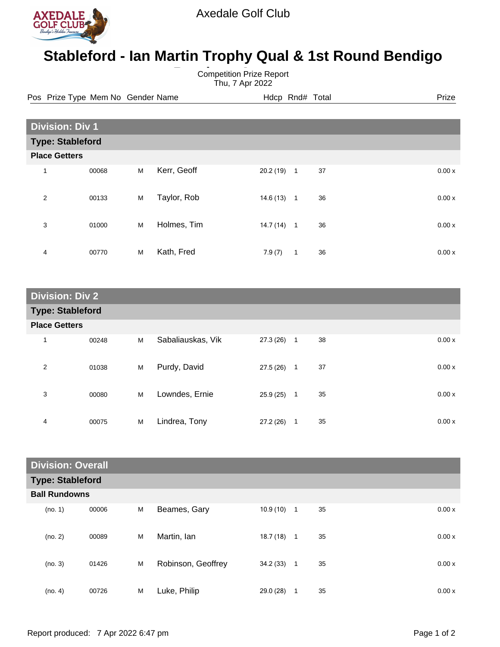

## **Stableford - Ian Martin Trophy Qual & 1st Round Bendigo**

**Bearing Competition Prize Report** Thu, 7 Apr 2022

Pos Prize Type Mem No Gender Name **Heath Hotel Hotel Rnd# Total** Prize

| <b>Division: Div 1</b>  |       |   |             |           |                |    |  |       |
|-------------------------|-------|---|-------------|-----------|----------------|----|--|-------|
| <b>Type: Stableford</b> |       |   |             |           |                |    |  |       |
| <b>Place Getters</b>    |       |   |             |           |                |    |  |       |
| $\mathbf{1}$            | 00068 | M | Kerr, Geoff | 20.2 (19) | $\overline{1}$ | 37 |  | 0.00x |
| 2                       | 00133 | M | Taylor, Rob | 14.6(13)  | $\mathbf{1}$   | 36 |  | 0.00x |
| 3                       | 01000 | M | Holmes, Tim | 14.7(14)  | $\overline{1}$ | 36 |  | 0.00x |
| 4                       | 00770 | M | Kath, Fred  | 7.9(7)    | 1              | 36 |  | 0.00x |

| <b>Division: Div 2</b>  |       |   |                   |              |                |    |  |       |
|-------------------------|-------|---|-------------------|--------------|----------------|----|--|-------|
| <b>Type: Stableford</b> |       |   |                   |              |                |    |  |       |
| <b>Place Getters</b>    |       |   |                   |              |                |    |  |       |
| 1                       | 00248 | M | Sabaliauskas, Vik | $27.3(26)$ 1 |                | 38 |  | 0.00x |
| 2                       | 01038 | М | Purdy, David      | 27.5(26)     | $\overline{1}$ | 37 |  | 0.00x |
| 3                       | 00080 | M | Lowndes, Ernie    | $25.9(25)$ 1 |                | 35 |  | 0.00x |
| 4                       | 00075 | M | Lindrea, Tony     | 27.2(26)     | $\mathbf{1}$   | 35 |  | 0.00x |

| <b>Division: Overall</b> |       |   |                    |           |              |    |       |
|--------------------------|-------|---|--------------------|-----------|--------------|----|-------|
| <b>Type: Stableford</b>  |       |   |                    |           |              |    |       |
| <b>Ball Rundowns</b>     |       |   |                    |           |              |    |       |
| (no. 1)                  | 00006 | M | Beames, Gary       | 10.9(10)  | $\mathbf{1}$ | 35 | 0.00x |
| (no. 2)                  | 00089 | M | Martin, Ian        | 18.7 (18) | $\mathbf{1}$ | 35 | 0.00x |
| (no. 3)                  | 01426 | M | Robinson, Geoffrey | 34.2(33)  | $\mathbf{1}$ | 35 | 0.00x |
| (no. 4)                  | 00726 | M | Luke, Philip       | 29.0 (28) | 1            | 35 | 0.00x |